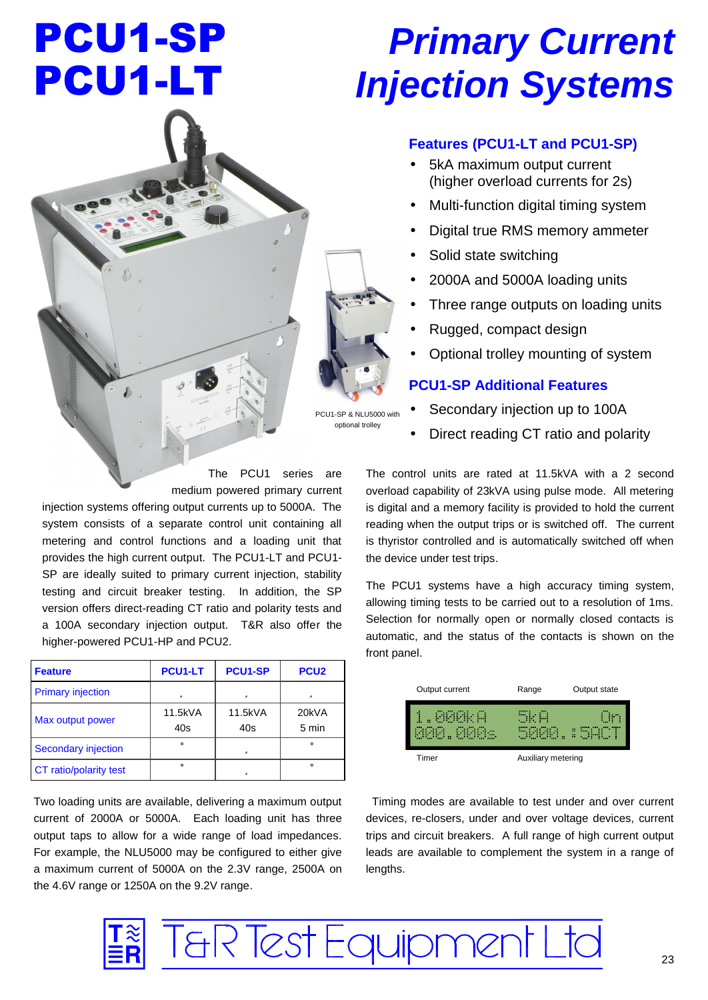# PCU1-SP PCU1-LT

# *Primary Current Injection Systems*

# **Features (PCU1-LT and PCU1-SP)**

- 5kA maximum output current (higher overload currents for 2s)
- Multi-function digital timing system
- Digital true RMS memory ammeter
- Solid state switching
- 2000A and 5000A loading units
- Three range outputs on loading units
- Rugged, compact design
- Optional trolley mounting of system

# **PCU1-SP Additional Features**

- Secondary injection up to 100A
- Direct reading CT ratio and polarity

The PCU1 series are medium powered primary current

injection systems offering output currents up to 5000A. The system consists of a separate control unit containing all metering and control functions and a loading unit that provides the high current output. The PCU1-LT and PCU1- SP are ideally suited to primary current injection, stability testing and circuit breaker testing. In addition, the SP version offers direct-reading CT ratio and polarity tests and a 100A secondary injection output. T&R also offer the higher-powered PCU1-HP and PCU2.

| <b>Feature</b>           | <b>PCU1-LT</b> | <b>PCU1-SP</b> | PCU <sub>2</sub> |
|--------------------------|----------------|----------------|------------------|
| <b>Primary injection</b> | ü              | ü              | ü                |
| Max output power         | 11.5kVA<br>40s | 11.5kVA<br>40s | 20kVA<br>5 min   |
| Secondary injection      | û              | ü              | û                |
| CT ratio/polarity test   | û              | ü              |                  |

Two loading units are available, delivering a maximum output current of 2000A or 5000A. Each loading unit has three output taps to allow for a wide range of load impedances. For example, the NLU5000 may be configured to either give a maximum current of 5000A on the 2.3V range, 2500A on the 4.6V range or 1250A on the 9.2V range.

The control units are rated at 11.5kVA with a 2 second overload capability of 23kVA using pulse mode. All metering is digital and a memory facility is provided to hold the current reading when the output trips or is switched off. The current is thyristor controlled and is automatically switched off when the device under test trips.

The PCU1 systems have a high accuracy timing system, allowing timing tests to be carried out to a resolution of 1ms. Selection for normally open or normally closed contacts is automatic, and the status of the contacts is shown on the front panel.

| Output current               | Output state<br>Range   |
|------------------------------|-------------------------|
| dkildk H<br>kikikj. Kikikje. | SKH<br>Un<br>5000.:5ACT |
| Timer                        | Auxiliary metering      |

 Timing modes are available to test under and over current devices, re-closers, under and over voltage devices, current trips and circuit breakers. A full range of high current output leads are available to complement the system in a range of lengths.





PCU1-SP & NLU5000 with optional trolley